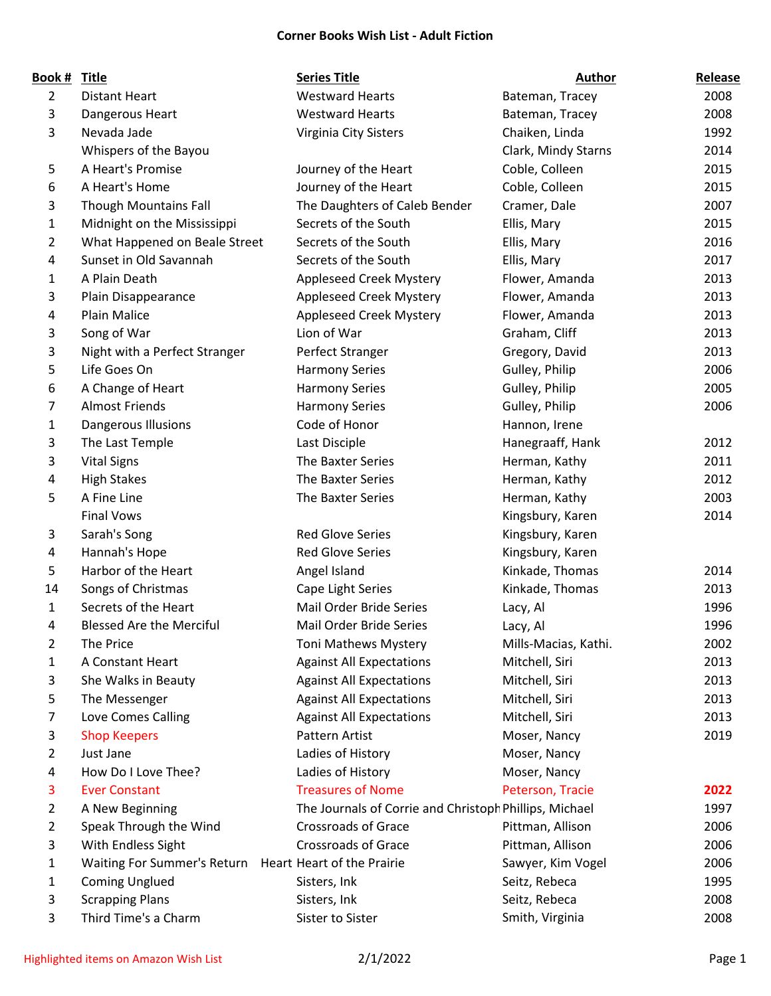## **Corner Books Wish List - Adult Fiction**

| Book #         | <b>Title</b>                    | <b>Series Title</b>                                    | <b>Author</b>        | Release |
|----------------|---------------------------------|--------------------------------------------------------|----------------------|---------|
| $\overline{2}$ | <b>Distant Heart</b>            | <b>Westward Hearts</b>                                 | Bateman, Tracey      | 2008    |
| 3              | Dangerous Heart                 | <b>Westward Hearts</b>                                 | Bateman, Tracey      | 2008    |
| 3              | Nevada Jade                     | Virginia City Sisters                                  | Chaiken, Linda       | 1992    |
|                | Whispers of the Bayou           |                                                        | Clark, Mindy Starns  | 2014    |
| 5              | A Heart's Promise               | Journey of the Heart                                   | Coble, Colleen       | 2015    |
| 6              | A Heart's Home                  | Journey of the Heart                                   | Coble, Colleen       | 2015    |
| 3              | <b>Though Mountains Fall</b>    | The Daughters of Caleb Bender                          | Cramer, Dale         | 2007    |
| 1              | Midnight on the Mississippi     | Secrets of the South                                   | Ellis, Mary          | 2015    |
| 2              | What Happened on Beale Street   | Secrets of the South                                   | Ellis, Mary          | 2016    |
| 4              | Sunset in Old Savannah          | Secrets of the South                                   | Ellis, Mary          | 2017    |
| 1              | A Plain Death                   | Appleseed Creek Mystery                                | Flower, Amanda       | 2013    |
| 3              | Plain Disappearance             | <b>Appleseed Creek Mystery</b>                         | Flower, Amanda       | 2013    |
| 4              | <b>Plain Malice</b>             | Appleseed Creek Mystery                                | Flower, Amanda       | 2013    |
| 3              | Song of War                     | Lion of War                                            | Graham, Cliff        | 2013    |
| 3              | Night with a Perfect Stranger   | Perfect Stranger                                       | Gregory, David       | 2013    |
| 5              | Life Goes On                    | <b>Harmony Series</b>                                  | Gulley, Philip       | 2006    |
| 6              | A Change of Heart               | <b>Harmony Series</b>                                  | Gulley, Philip       | 2005    |
| 7              | <b>Almost Friends</b>           | <b>Harmony Series</b>                                  | Gulley, Philip       | 2006    |
| 1              | Dangerous Illusions             | Code of Honor                                          | Hannon, Irene        |         |
| 3              | The Last Temple                 | Last Disciple                                          | Hanegraaff, Hank     | 2012    |
| 3              | <b>Vital Signs</b>              | The Baxter Series                                      | Herman, Kathy        | 2011    |
| 4              | <b>High Stakes</b>              | The Baxter Series                                      | Herman, Kathy        | 2012    |
| 5              | A Fine Line                     | The Baxter Series                                      | Herman, Kathy        | 2003    |
|                | <b>Final Vows</b>               |                                                        | Kingsbury, Karen     | 2014    |
| 3              | Sarah's Song                    | <b>Red Glove Series</b>                                | Kingsbury, Karen     |         |
| 4              | Hannah's Hope                   | <b>Red Glove Series</b>                                | Kingsbury, Karen     |         |
| 5              | Harbor of the Heart             | Angel Island                                           | Kinkade, Thomas      | 2014    |
| 14             | Songs of Christmas              | Cape Light Series                                      | Kinkade, Thomas      | 2013    |
| $\mathbf{1}$   | Secrets of the Heart            | Mail Order Bride Series                                | Lacy, Al             | 1996    |
| 4              | <b>Blessed Are the Merciful</b> | Mail Order Bride Series                                | Lacy, Al             | 1996    |
| 2              | The Price                       | <b>Toni Mathews Mystery</b>                            | Mills-Macias, Kathi. | 2002    |
| 1              | A Constant Heart                | <b>Against All Expectations</b>                        | Mitchell, Siri       | 2013    |
| 3              | She Walks in Beauty             | <b>Against All Expectations</b>                        | Mitchell, Siri       | 2013    |
| 5              | The Messenger                   | <b>Against All Expectations</b>                        | Mitchell, Siri       | 2013    |
| 7              | Love Comes Calling              | <b>Against All Expectations</b>                        | Mitchell, Siri       | 2013    |
| 3              | <b>Shop Keepers</b>             | <b>Pattern Artist</b>                                  | Moser, Nancy         | 2019    |
| 2              | Just Jane                       | Ladies of History                                      | Moser, Nancy         |         |
| 4              | How Do I Love Thee?             | Ladies of History                                      | Moser, Nancy         |         |
| 3              | <b>Ever Constant</b>            | <b>Treasures of Nome</b>                               | Peterson, Tracie     | 2022    |
| 2              | A New Beginning                 | The Journals of Corrie and Christoph Phillips, Michael |                      | 1997    |
| 2              | Speak Through the Wind          | <b>Crossroads of Grace</b>                             | Pittman, Allison     | 2006    |
| 3              | With Endless Sight              | <b>Crossroads of Grace</b>                             | Pittman, Allison     | 2006    |
| 1              | Waiting For Summer's Return     | Heart Heart of the Prairie                             | Sawyer, Kim Vogel    | 2006    |
| 1              | <b>Coming Unglued</b>           | Sisters, Ink                                           | Seitz, Rebeca        | 1995    |
| 3              | <b>Scrapping Plans</b>          | Sisters, Ink                                           | Seitz, Rebeca        | 2008    |
| 3              | Third Time's a Charm            | Sister to Sister                                       | Smith, Virginia      | 2008    |